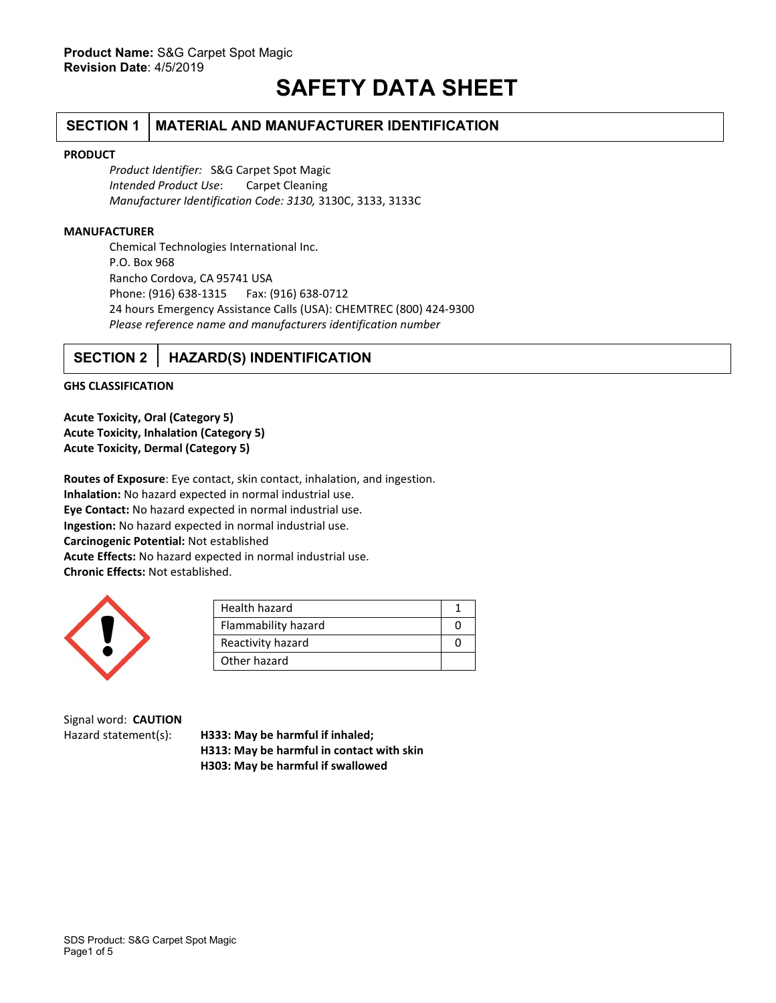# **SAFETY DATA SHEET**

## **SECTION 1 MATERIAL AND MANUFACTURER IDENTIFICATION**

#### **PRODUCT**

*Product Identifier:* S&G Carpet Spot Magic *Intended Product Use*: Carpet Cleaning *Manufacturer Identification Code: 3130,* 3130C, 3133, 3133C

#### **MANUFACTURER**

Chemical Technologies International Inc. P.O. Box 968 Rancho Cordova, CA 95741 USA Phone: (916) 638-1315 Fax: (916) 638-0712 24 hours Emergency Assistance Calls (USA): CHEMTREC (800) 424-9300 *Please reference name and manufacturers identification number*

## **SECTION 2 HAZARD(S) INDENTIFICATION**

#### **GHS CLASSIFICATION**

**Acute Toxicity, Oral (Category 5) Acute Toxicity, Inhalation (Category 5) Acute Toxicity, Dermal (Category 5)**

**Routes of Exposure**: Eye contact, skin contact, inhalation, and ingestion. **Inhalation:** No hazard expected in normal industrial use. **Eye Contact:** No hazard expected in normal industrial use. **Ingestion:** No hazard expected in normal industrial use. **Carcinogenic Potential:** Not established **Acute Effects:** No hazard expected in normal industrial use. **Chronic Effects:** Not established.



| Health hazard       |  |
|---------------------|--|
| Flammability hazard |  |
| Reactivity hazard   |  |
| Other hazard        |  |

Signal word: **CAUTION**

Hazard statement(s): **H333: May be harmful if inhaled; H313: May be harmful in contact with skin H303: May be harmful if swallowed**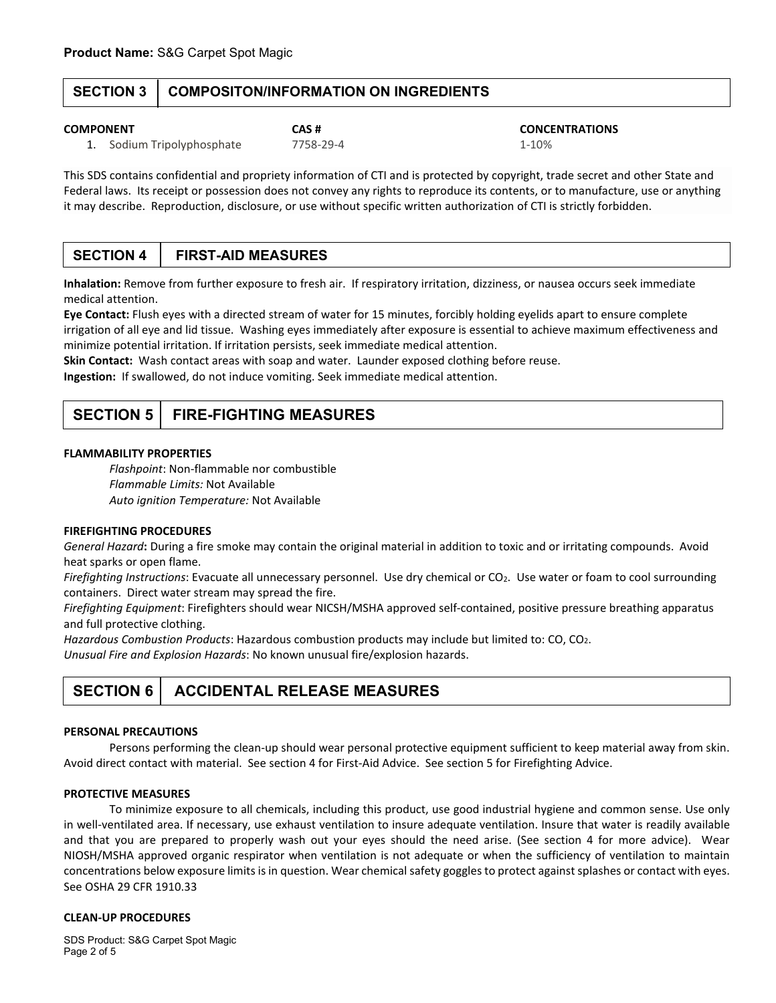### **SECTION 3 COMPOSITON/INFORMATION ON INGREDIENTS**

#### **COMPONENT CAS # CONCENTRATIONS**

1. Sodium Tripolyphosphate 7758-29-4 1-10%

This SDS contains confidential and propriety information of CTI and is protected by copyright, trade secret and other State and Federal laws. Its receipt or possession does not convey any rights to reproduce its contents, or to manufacture, use or anything it may describe. Reproduction, disclosure, or use without specific written authorization of CTI is strictly forbidden.

## **SECTION 4 FIRST-AID MEASURES**

**Inhalation:** Remove from further exposure to fresh air. If respiratory irritation, dizziness, or nausea occurs seek immediate medical attention.

**Eye Contact:** Flush eyes with a directed stream of water for 15 minutes, forcibly holding eyelids apart to ensure complete irrigation of all eye and lid tissue. Washing eyes immediately after exposure is essential to achieve maximum effectiveness and minimize potential irritation. If irritation persists, seek immediate medical attention.

**Skin Contact:** Wash contact areas with soap and water. Launder exposed clothing before reuse.

**Ingestion:** If swallowed, do not induce vomiting. Seek immediate medical attention.

## **SECTION 5 FIRE-FIGHTING MEASURES**

#### **FLAMMABILITY PROPERTIES**

*Flashpoint*: Non-flammable nor combustible *Flammable Limits:* Not Available *Auto ignition Temperature:* Not Available

#### **FIREFIGHTING PROCEDURES**

*General Hazard***:** During a fire smoke may contain the original material in addition to toxic and or irritating compounds. Avoid heat sparks or open flame.

*Firefighting Instructions*: Evacuate all unnecessary personnel. Use dry chemical or CO2. Use water or foam to cool surrounding containers. Direct water stream may spread the fire.

*Firefighting Equipment*: Firefighters should wear NICSH/MSHA approved self-contained, positive pressure breathing apparatus and full protective clothing.

*Hazardous Combustion Products*: Hazardous combustion products may include but limited to: CO, CO2.

*Unusual Fire and Explosion Hazards*: No known unusual fire/explosion hazards.

## **SECTION 6 ACCIDENTAL RELEASE MEASURES**

#### **PERSONAL PRECAUTIONS**

Persons performing the clean-up should wear personal protective equipment sufficient to keep material away from skin. Avoid direct contact with material. See section 4 for First-Aid Advice. See section 5 for Firefighting Advice.

#### **PROTECTIVE MEASURES**

To minimize exposure to all chemicals, including this product, use good industrial hygiene and common sense. Use only in well-ventilated area. If necessary, use exhaust ventilation to insure adequate ventilation. Insure that water is readily available and that you are prepared to properly wash out your eyes should the need arise. (See section 4 for more advice). Wear NIOSH/MSHA approved organic respirator when ventilation is not adequate or when the sufficiency of ventilation to maintain concentrations below exposure limits is in question. Wear chemical safety goggles to protect against splashes or contact with eyes. See OSHA 29 CFR 1910.33

#### **CLEAN-UP PROCEDURES**

SDS Product: S&G Carpet Spot Magic Page 2 of 5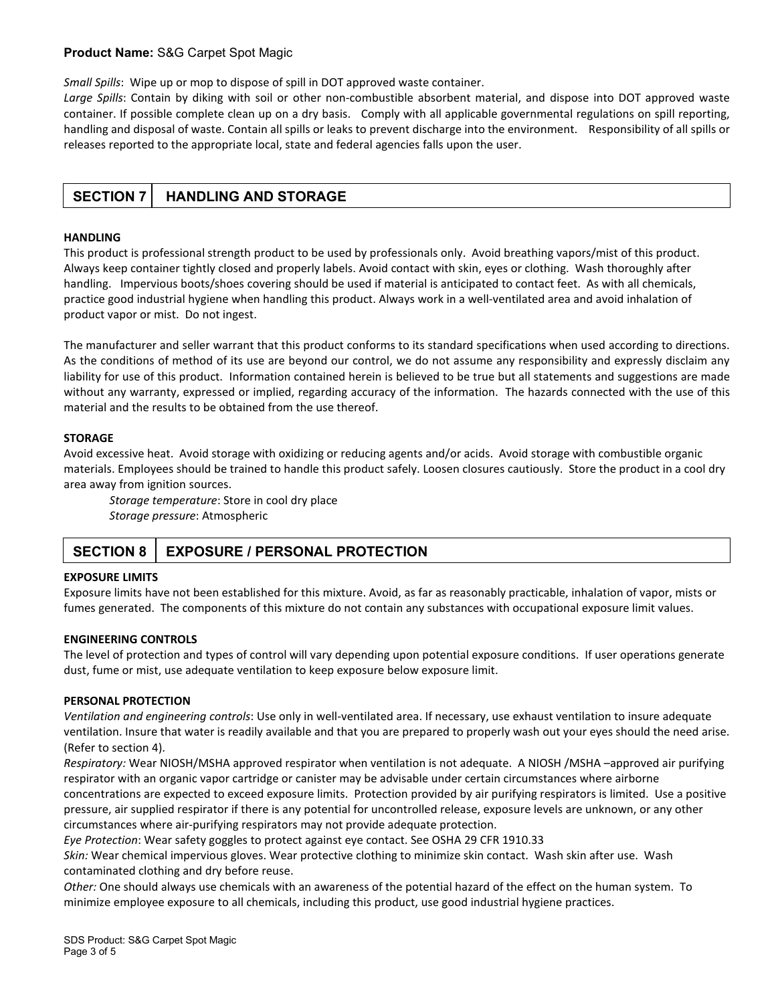#### **Product Name:** S&G Carpet Spot Magic

*Small Spills*: Wipe up or mop to dispose of spill in DOT approved waste container.

*Large Spills*: Contain by diking with soil or other non-combustible absorbent material, and dispose into DOT approved waste container. If possible complete clean up on a dry basis. Comply with all applicable governmental regulations on spill reporting, handling and disposal of waste. Contain all spills or leaks to prevent discharge into the environment. Responsibility of all spills or releases reported to the appropriate local, state and federal agencies falls upon the user.

### **SECTION 7 HANDLING AND STORAGE**

#### **HANDLING**

This product is professional strength product to be used by professionals only. Avoid breathing vapors/mist of this product. Always keep container tightly closed and properly labels. Avoid contact with skin, eyes or clothing. Wash thoroughly after handling. Impervious boots/shoes covering should be used if material is anticipated to contact feet. As with all chemicals, practice good industrial hygiene when handling this product. Always work in a well-ventilated area and avoid inhalation of product vapor or mist. Do not ingest.

The manufacturer and seller warrant that this product conforms to its standard specifications when used according to directions. As the conditions of method of its use are beyond our control, we do not assume any responsibility and expressly disclaim any liability for use of this product. Information contained herein is believed to be true but all statements and suggestions are made without any warranty, expressed or implied, regarding accuracy of the information. The hazards connected with the use of this material and the results to be obtained from the use thereof.

#### **STORAGE**

Avoid excessive heat. Avoid storage with oxidizing or reducing agents and/or acids. Avoid storage with combustible organic materials. Employees should be trained to handle this product safely. Loosen closures cautiously. Store the product in a cool dry area away from ignition sources.

*Storage temperature*: Store in cool dry place *Storage pressure*: Atmospheric

## **SECTION 8 | EXPOSURE / PERSONAL PROTECTION**

#### **EXPOSURE LIMITS**

Exposure limits have not been established for this mixture. Avoid, as far as reasonably practicable, inhalation of vapor, mists or fumes generated. The components of this mixture do not contain any substances with occupational exposure limit values.

#### **ENGINEERING CONTROLS**

The level of protection and types of control will vary depending upon potential exposure conditions. If user operations generate dust, fume or mist, use adequate ventilation to keep exposure below exposure limit.

#### **PERSONAL PROTECTION**

*Ventilation and engineering controls*: Use only in well-ventilated area. If necessary, use exhaust ventilation to insure adequate ventilation. Insure that water is readily available and that you are prepared to properly wash out your eyes should the need arise. (Refer to section 4).

*Respiratory:* Wear NIOSH/MSHA approved respirator when ventilation is not adequate. A NIOSH /MSHA –approved air purifying respirator with an organic vapor cartridge or canister may be advisable under certain circumstances where airborne concentrations are expected to exceed exposure limits. Protection provided by air purifying respirators is limited. Use a positive pressure, air supplied respirator if there is any potential for uncontrolled release, exposure levels are unknown, or any other circumstances where air-purifying respirators may not provide adequate protection.

*Eye Protection*: Wear safety goggles to protect against eye contact. See OSHA 29 CFR 1910.33

*Skin:* Wear chemical impervious gloves. Wear protective clothing to minimize skin contact. Wash skin after use. Wash contaminated clothing and dry before reuse.

*Other:* One should always use chemicals with an awareness of the potential hazard of the effect on the human system. To minimize employee exposure to all chemicals, including this product, use good industrial hygiene practices.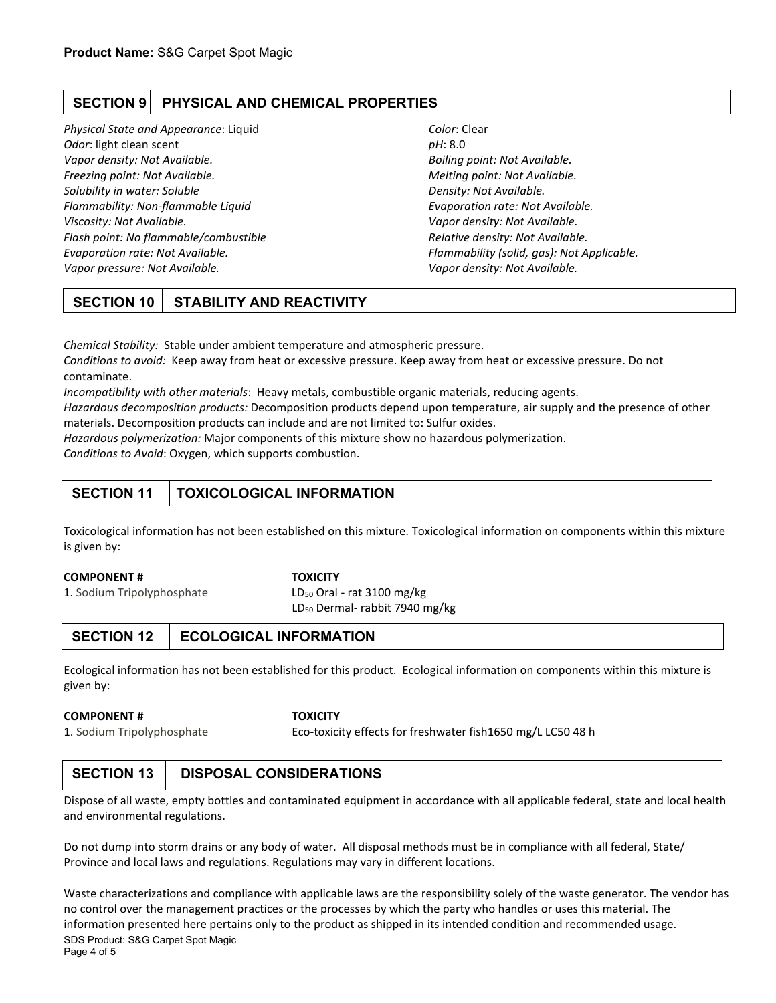## **SECTION 9 PHYSICAL AND CHEMICAL PROPERTIES**

*Physical State and Appearance*: Liquid *Color*: Clear *Odor*: light clean scent *pH*: 8.0 *Vapor density: Not Available. Boiling point: Not Available. Freezing point: Not Available. Melting point: Not Available. Solubility in water: Soluble Density: Not Available. Flammability: Non-flammable Liquid Evaporation rate: Not Available. Viscosity: Not Available. Vapor density: Not Available. Flash point: No flammable/combustible Relative density: Not Available. Evaporation rate: Not Available. Flammability (solid, gas): Not Applicable. Vapor pressure: Not Available. Vapor density: Not Available.*

## **SECTION 10 STABILITY AND REACTIVITY**

*Chemical Stability:* Stable under ambient temperature and atmospheric pressure.

*Conditions to avoid:* Keep away from heat or excessive pressure. Keep away from heat or excessive pressure. Do not contaminate.

*Incompatibility with other materials*: Heavy metals, combustible organic materials, reducing agents.

*Hazardous decomposition products:* Decomposition products depend upon temperature, air supply and the presence of other materials. Decomposition products can include and are not limited to: Sulfur oxides.

*Hazardous polymerization:* Major components of this mixture show no hazardous polymerization.

*Conditions to Avoid*: Oxygen, which supports combustion.

## **SECTION 11 TOXICOLOGICAL INFORMATION**

Toxicological information has not been established on this mixture. Toxicological information on components within this mixture is given by:

#### **COMPONENT # TOXICITY**

1. Sodium Tripolyphosphate LD<sub>50</sub> Oral - rat 3100 mg/kg LD50 Dermal- rabbit 7940 mg/kg

## **SECTION 12 ECOLOGICAL INFORMATION**

Ecological information has not been established for this product. Ecological information on components within this mixture is given by:

#### **COMPONENT # TOXICITY**

1. Sodium Tripolyphosphate Eco-toxicity effects for freshwater fish1650 mg/L LC50 48 h

## **SECTION 13 DISPOSAL CONSIDERATIONS**

Dispose of all waste, empty bottles and contaminated equipment in accordance with all applicable federal, state and local health and environmental regulations.

Do not dump into storm drains or any body of water. All disposal methods must be in compliance with all federal, State/ Province and local laws and regulations. Regulations may vary in different locations.

SDS Product: S&G Carpet Spot Magic Waste characterizations and compliance with applicable laws are the responsibility solely of the waste generator. The vendor has no control over the management practices or the processes by which the party who handles or uses this material. The information presented here pertains only to the product as shipped in its intended condition and recommended usage.

Page 4 of 5